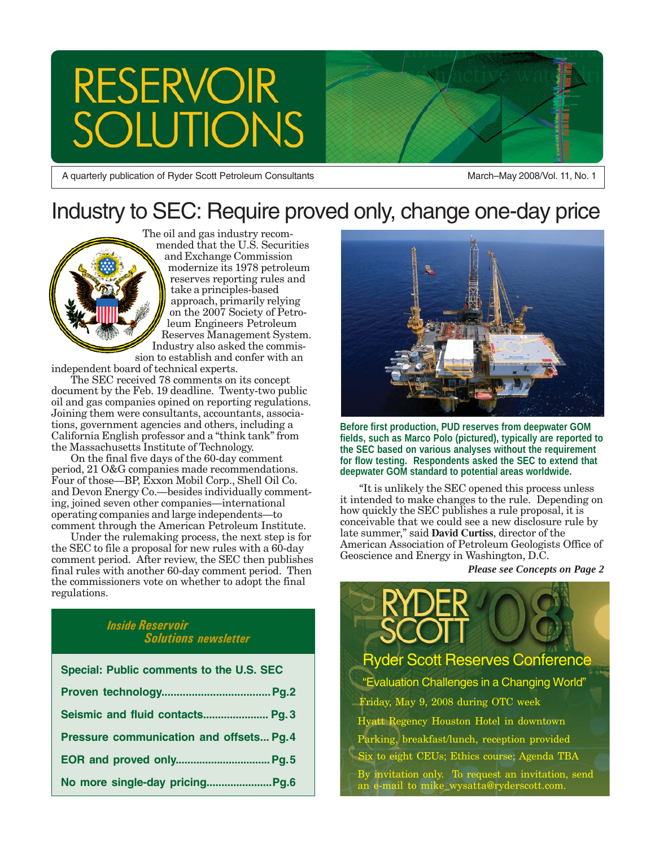# **RESERVOIR TONS**

A quarterly publication of Ryder Scott Petroleum Consultants March–May 2008/Vol. 11, No. 1

# Industry to SEC: Require proved only, change one-day price

The oil and gas industry recommended that the U.S. Securities and Exchange Commission modernize its 1978 petroleum reserves reporting rules and take a principles-based approach, primarily relying on the 2007 Society of Petroleum Engineers Petroleum Reserves Management System. Industry also asked the commission to establish and confer with an

independent board of technical experts.

The SEC received 78 comments on its concept document by the Feb. 19 deadline. Twenty-two public oil and gas companies opined on reporting regulations. Joining them were consultants, accountants, associations, government agencies and others, including a California English professor and a "think tank" from the Massachusetts Institute of Technology.

On the final five days of the 60-day comment period, 21 O&G companies made recommendations. Four of those—BP, Exxon Mobil Corp., Shell Oil Co. and Devon Energy Co.—besides individually commenting, joined seven other companies—international operating companies and large independents—to comment through the American Petroleum Institute.

Under the rulemaking process, the next step is for the SEC to file a proposal for new rules with a 60-day comment period. After review, the SEC then publishes final rules with another 60-day comment period. Then the commissioners vote on whether to adopt the final regulations.

#### *Inside Reservoir Solutions newsletter*

| Special: Public comments to the U.S. SEC |  |
|------------------------------------------|--|
|                                          |  |
| Seismic and fluid contacts Pg. 3         |  |
| Pressure communication and offsets Pg. 4 |  |
|                                          |  |
|                                          |  |



**Before first production, PUD reserves from deepwater GOM fields, such as Marco Polo (pictured), typically are reported to the SEC based on various analyses without the requirement for flow testing. Respondents asked the SEC to extend that deepwater GOM standard to potential areas worldwide.**

"It is unlikely the SEC opened this process unless it intended to make changes to the rule. Depending on how quickly the SEC publishes a rule proposal, it is conceivable that we could see a new disclosure rule by late summer," said **David Curtiss**, director of the American Association of Petroleum Geologists Office of Geoscience and Energy in Washington, D.C.

*Please see Concepts on Page 2*

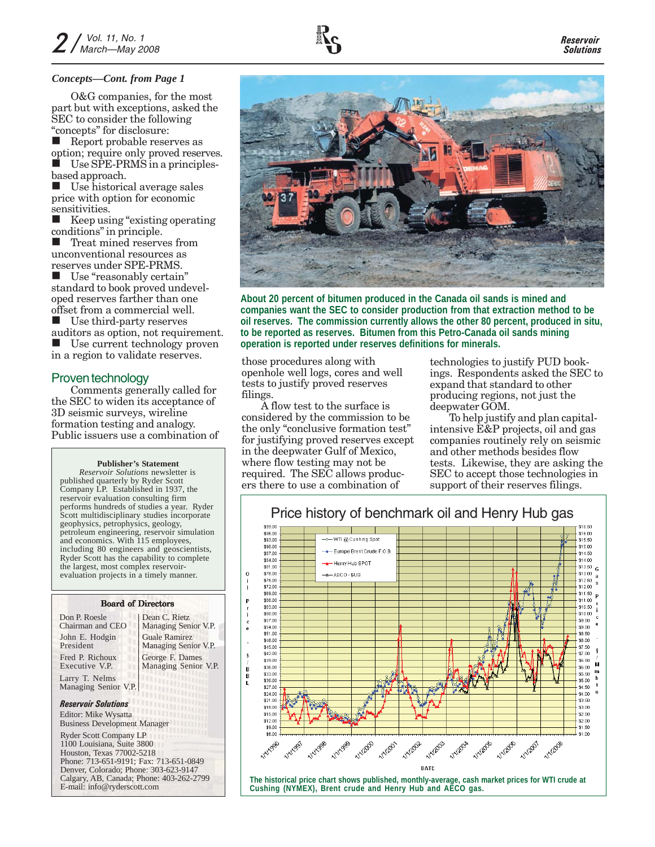#### *Concepts—Cont. from Page 1*

O&G companies, for the most part but with exceptions, asked the SEC to consider the following "concepts" for disclosure:

Report probable reserves as option; require only proved reserves. Use SPE-PRMS in a principlesbased approach.

Use historical average sales price with option for economic sensitivities.

 Keep using "existing operating conditions" in principle.

 Treat mined reserves from unconventional resources as reserves under SPE-PRMS.

 Use "reasonably certain" standard to book proved undeveloped reserves farther than one offset from a commercial well.

 Use third-party reserves auditors as option, not requirement.<br>■ Use current technology proven Use current technology proven in a region to validate reserves.

#### Proven technology

Comments generally called for the SEC to widen its acceptance of 3D seismic surveys, wireline formation testing and analogy. Public issuers use a combination of

#### **Publisher's Statement**

*Reservoir Solutions* newsletter is published quarterly by Ryder Scott Company LP. Established in 1937, the reservoir evaluation consulting firm performs hundreds of studies a year. Ryder Scott multidisciplinary studies incorporate geophysics, petrophysics, geology, petroleum engineering, reservoir simulation and economics. With 115 employees, including 80 engineers and geoscientists, Ryder Scott has the capability to complete the largest, most complex reservoirevaluation projects in a timely manner.

#### Board of Directors

| Don P. Roesle<br>Chairman and CEO                                                                                                                                             | Dean C. Rietz<br>Managing Senior V.P.   |
|-------------------------------------------------------------------------------------------------------------------------------------------------------------------------------|-----------------------------------------|
| John E. Hodgin<br>President                                                                                                                                                   | Guale Ramirez<br>Managing Senior V.P.   |
| Fred P. Richoux<br>Executive V.P.                                                                                                                                             | George F. Dames<br>Managing Senior V.P. |
| Larry T. Nelms<br>Managing Senior V.P.                                                                                                                                        | mm                                      |
| <b>Reservoir Solutions</b><br>Editor: Mike Wysatta<br><b>Business Development Manager</b>                                                                                     | <b>THEF</b>                             |
| <b>Ryder Scott Company LP</b><br>1100 Louisiana, Suite 3800<br>Houston, Texas 77002-5218<br>$PL_{\text{max}}$ , 712 $\angle$ 61 0101, $E_{\text{max}}$ , 712 $\angle$ 61 0040 |                                         |

Phone: 713-651-9191; Fax: 713-651-0849 Denver, Colorado; Phone: 303-623-9147 Calgary, AB, Canada; Phone: 403-262-2799 E-mail: info@ryderscott.com



**About 20 percent of bitumen produced in the Canada oil sands is mined and companies want the SEC to consider production from that extraction method to be oil reserves. The commission currently allows the other 80 percent, produced in situ, to be reported as reserves. Bitumen from this Petro-Canada oil sands mining operation is reported under reserves definitions for minerals.**

those procedures along with openhole well logs, cores and well tests to justify proved reserves filings.

A flow test to the surface is considered by the commission to be the only "conclusive formation test" for justifying proved reserves except in the deepwater Gulf of Mexico, where flow testing may not be required. The SEC allows producers there to use a combination of

technologies to justify PUD bookings. Respondents asked the SEC to expand that standard to other producing regions, not just the deepwater GOM.

To help justify and plan capitalintensive E&P projects, oil and gas companies routinely rely on seismic and other methods besides flow tests. Likewise, they are asking the SEC to accept those technologies in support of their reserves filings.

# Price history of benchmark oil and Henry Hub gas

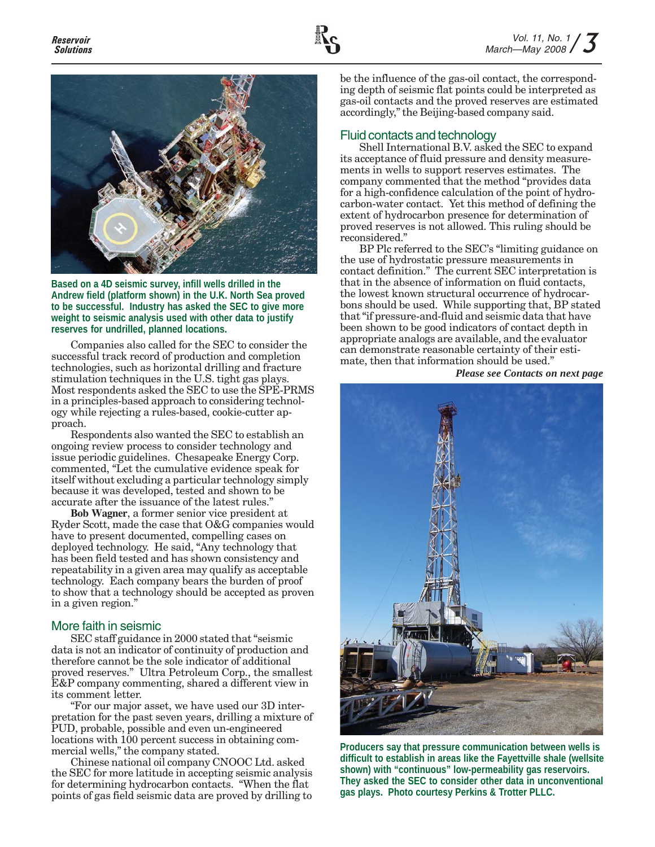

**Based on a 4D seismic survey, infill wells drilled in the Andrew field (platform shown) in the U.K. North Sea proved to be successful. Industry has asked the SEC to give more weight to seismic analysis used with other data to justify reserves for undrilled, planned locations.**

Companies also called for the SEC to consider the successful track record of production and completion technologies, such as horizontal drilling and fracture stimulation techniques in the U.S. tight gas plays. Most respondents asked the SEC to use the SPE-PRMS in a principles-based approach to considering technology while rejecting a rules-based, cookie-cutter approach.

Respondents also wanted the SEC to establish an ongoing review process to consider technology and issue periodic guidelines. Chesapeake Energy Corp. commented, "Let the cumulative evidence speak for itself without excluding a particular technology simply because it was developed, tested and shown to be accurate after the issuance of the latest rules."

**Bob Wagner**, a former senior vice president at Ryder Scott, made the case that O&G companies would have to present documented, compelling cases on deployed technology. He said, "Any technology that has been field tested and has shown consistency and repeatability in a given area may qualify as acceptable technology. Each company bears the burden of proof to show that a technology should be accepted as proven in a given region."

## More faith in seismic

SEC staff guidance in 2000 stated that "seismic data is not an indicator of continuity of production and therefore cannot be the sole indicator of additional proved reserves." Ultra Petroleum Corp., the smallest E&P company commenting, shared a different view in its comment letter.

"For our major asset, we have used our 3D interpretation for the past seven years, drilling a mixture of PUD, probable, possible and even un-engineered locations with 100 percent success in obtaining commercial wells," the company stated.

Chinese national oil company CNOOC Ltd. asked the SEC for more latitude in accepting seismic analysis for determining hydrocarbon contacts. "When the flat points of gas field seismic data are proved by drilling to

be the influence of the gas-oil contact, the corresponding depth of seismic flat points could be interpreted as gas-oil contacts and the proved reserves are estimated accordingly," the Beijing-based company said.

# Fluid contacts and technology

Shell International B.V. asked the SEC to expand its acceptance of fluid pressure and density measurements in wells to support reserves estimates. The company commented that the method "provides data for a high-confidence calculation of the point of hydrocarbon-water contact. Yet this method of defining the extent of hydrocarbon presence for determination of proved reserves is not allowed. This ruling should be reconsidered."

BP Plc referred to the SEC's "limiting guidance on the use of hydrostatic pressure measurements in contact definition." The current SEC interpretation is that in the absence of information on fluid contacts, the lowest known structural occurrence of hydrocarbons should be used. While supporting that, BP stated that "if pressure-and-fluid and seismic data that have been shown to be good indicators of contact depth in appropriate analogs are available, and the evaluator can demonstrate reasonable certainty of their estimate, then that information should be used."

*Please see Contacts on next page*



**Producers say that pressure communication between wells is difficult to establish in areas like the Fayettville shale (wellsite shown) with "continuous" low-permeability gas reservoirs. They asked the SEC to consider other data in unconventional gas plays. Photo courtesy Perkins & Trotter PLLC.**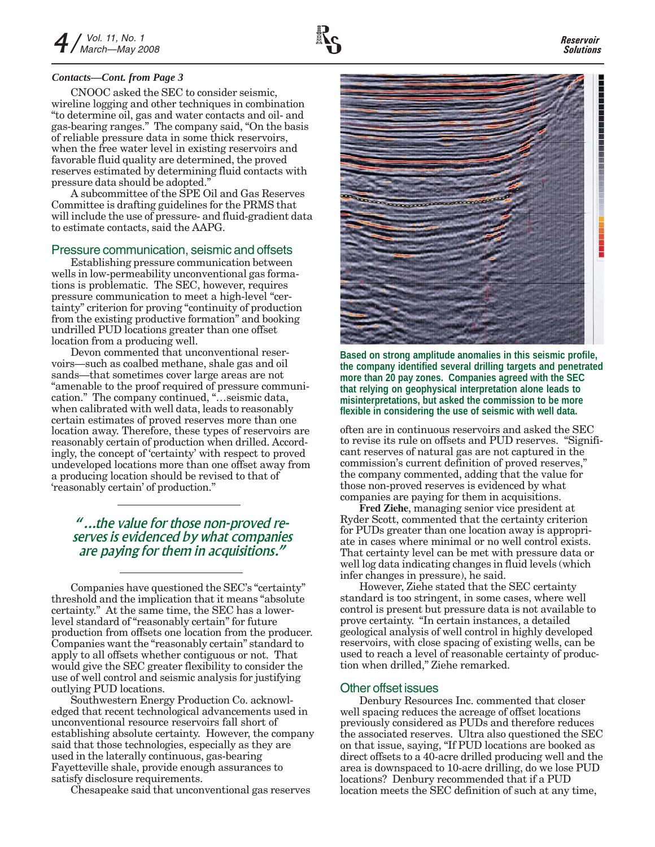#### *Contacts—Cont. from Page 3*

CNOOC asked the SEC to consider seismic, wireline logging and other techniques in combination "to determine oil, gas and water contacts and oil- and gas-bearing ranges." The company said, "On the basis of reliable pressure data in some thick reservoirs, when the free water level in existing reservoirs and favorable fluid quality are determined, the proved reserves estimated by determining fluid contacts with pressure data should be adopted."

A subcommittee of the SPE Oil and Gas Reserves Committee is drafting guidelines for the PRMS that will include the use of pressure- and fluid-gradient data to estimate contacts, said the AAPG.

#### Pressure communication, seismic and offsets

Establishing pressure communication between wells in low-permeability unconventional gas formations is problematic. The SEC, however, requires pressure communication to meet a high-level "certainty" criterion for proving "continuity of production from the existing productive formation" and booking undrilled PUD locations greater than one offset location from a producing well.

Devon commented that unconventional reservoirs—such as coalbed methane, shale gas and oil sands—that sometimes cover large areas are not "amenable to the proof required of pressure communication." The company continued, "…seismic data, when calibrated with well data, leads to reasonably certain estimates of proved reserves more than one location away. Therefore, these types of reservoirs are reasonably certain of production when drilled. Accordingly, the concept of 'certainty' with respect to proved undeveloped locations more than one offset away from a producing location should be revised to that of 'reasonably certain' of production."

# *"...the value for those non-proved reserves is evidenced by what companies are paying for them in acquisitions."*

Companies have questioned the SEC's "certainty" threshold and the implication that it means "absolute certainty." At the same time, the SEC has a lowerlevel standard of "reasonably certain" for future production from offsets one location from the producer. Companies want the "reasonably certain" standard to apply to all offsets whether contiguous or not. That would give the SEC greater flexibility to consider the use of well control and seismic analysis for justifying outlying PUD locations.

Southwestern Energy Production Co. acknowledged that recent technological advancements used in unconventional resource reservoirs fall short of establishing absolute certainty. However, the company said that those technologies, especially as they are used in the laterally continuous, gas-bearing Fayetteville shale, provide enough assurances to satisfy disclosure requirements.

Chesapeake said that unconventional gas reserves



**Based on strong amplitude anomalies in this seismic profile, the company identified several drilling targets and penetrated more than 20 pay zones. Companies agreed with the SEC that relying on geophysical interpretation alone leads to misinterpretations, but asked the commission to be more flexible in considering the use of seismic with well data.**

often are in continuous reservoirs and asked the SEC to revise its rule on offsets and PUD reserves. "Significant reserves of natural gas are not captured in the commission's current definition of proved reserves," the company commented, adding that the value for those non-proved reserves is evidenced by what companies are paying for them in acquisitions.

**Fred Ziehe**, managing senior vice president at Ryder Scott, commented that the certainty criterion for PUDs greater than one location away is appropriate in cases where minimal or no well control exists. That certainty level can be met with pressure data or well log data indicating changes in fluid levels (which infer changes in pressure), he said.

However, Ziehe stated that the SEC certainty standard is too stringent, in some cases, where well control is present but pressure data is not available to prove certainty. "In certain instances, a detailed geological analysis of well control in highly developed reservoirs, with close spacing of existing wells, can be used to reach a level of reasonable certainty of production when drilled," Ziehe remarked.

#### Other offset issues

Denbury Resources Inc. commented that closer well spacing reduces the acreage of offset locations previously considered as PUDs and therefore reduces the associated reserves. Ultra also questioned the SEC on that issue, saying, "If PUD locations are booked as direct offsets to a 40-acre drilled producing well and the area is downspaced to 10-acre drilling, do we lose PUD locations? Denbury recommended that if a PUD location meets the SEC definition of such at any time,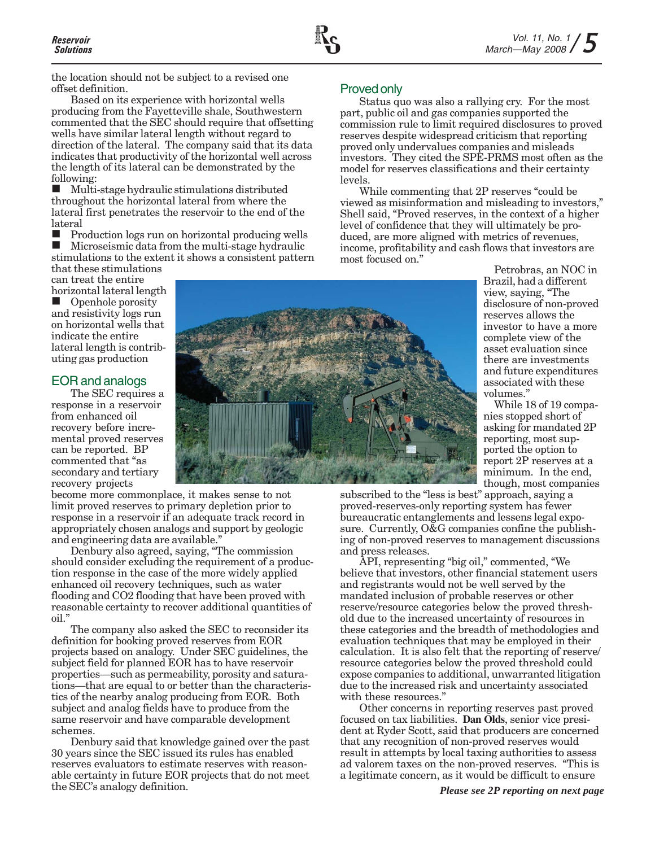

the location should not be subject to a revised one offset definition.

Based on its experience with horizontal wells producing from the Fayetteville shale, Southwestern commented that the SEC should require that offsetting wells have similar lateral length without regard to direction of the lateral. The company said that its data indicates that productivity of the horizontal well across the length of its lateral can be demonstrated by the following:

 Multi-stage hydraulic stimulations distributed throughout the horizontal lateral from where the lateral first penetrates the reservoir to the end of the lateral

 $\blacksquare$  Production logs run on horizontal producing wells  $\blacksquare$  Microseismic data from the multi-stage bydraulic Microseismic data from the multi-stage hydraulic stimulations to the extent it shows a consistent pattern

that these stimulations can treat the entire

horizontal lateral length Openhole porosity and resistivity logs run on horizontal wells that indicate the entire lateral length is contributing gas production

# EOR and analogs

The SEC requires a response in a reservoir from enhanced oil recovery before incremental proved reserves can be reported. BP commented that "as secondary and tertiary recovery projects

become more commonplace, it makes sense to not limit proved reserves to primary depletion prior to response in a reservoir if an adequate track record in appropriately chosen analogs and support by geologic and engineering data are available."

Denbury also agreed, saying, "The commission should consider excluding the requirement of a production response in the case of the more widely applied enhanced oil recovery techniques, such as water flooding and CO2 flooding that have been proved with reasonable certainty to recover additional quantities of oil."

The company also asked the SEC to reconsider its definition for booking proved reserves from EOR projects based on analogy. Under SEC guidelines, the subject field for planned EOR has to have reservoir properties—such as permeability, porosity and saturations—that are equal to or better than the characteristics of the nearby analog producing from EOR. Both subject and analog fields have to produce from the same reservoir and have comparable development schemes.

Denbury said that knowledge gained over the past 30 years since the SEC issued its rules has enabled reserves evaluators to estimate reserves with reasonable certainty in future EOR projects that do not meet the SEC's analogy definition.

#### Proved only

Status quo was also a rallying cry. For the most part, public oil and gas companies supported the commission rule to limit required disclosures to proved reserves despite widespread criticism that reporting proved only undervalues companies and misleads investors. They cited the SPE-PRMS most often as the model for reserves classifications and their certainty levels.

While commenting that 2P reserves "could be viewed as misinformation and misleading to investors," Shell said, "Proved reserves, in the context of a higher level of confidence that they will ultimately be produced, are more aligned with metrics of revenues, income, profitability and cash flows that investors are most focused on."

Petrobras, an NOC in Brazil, had a different view, saying, "The disclosure of non-proved reserves allows the investor to have a more complete view of the asset evaluation since there are investments and future expenditures associated with these volumes.'

While 18 of 19 companies stopped short of asking for mandated 2P reporting, most supported the option to report 2P reserves at a minimum. In the end, though, most companies

subscribed to the "less is best" approach, saying a proved-reserves-only reporting system has fewer bureaucratic entanglements and lessens legal exposure. Currently, O&G companies confine the publishing of non-proved reserves to management discussions and press releases.

API, representing "big oil," commented, "We believe that investors, other financial statement users and registrants would not be well served by the mandated inclusion of probable reserves or other reserve/resource categories below the proved threshold due to the increased uncertainty of resources in these categories and the breadth of methodologies and evaluation techniques that may be employed in their calculation. It is also felt that the reporting of reserve/ resource categories below the proved threshold could expose companies to additional, unwarranted litigation due to the increased risk and uncertainty associated with these resources."

Other concerns in reporting reserves past proved focused on tax liabilities. **Dan Olds**, senior vice president at Ryder Scott, said that producers are concerned that any recognition of non-proved reserves would result in attempts by local taxing authorities to assess ad valorem taxes on the non-proved reserves. "This is a legitimate concern, as it would be difficult to ensure

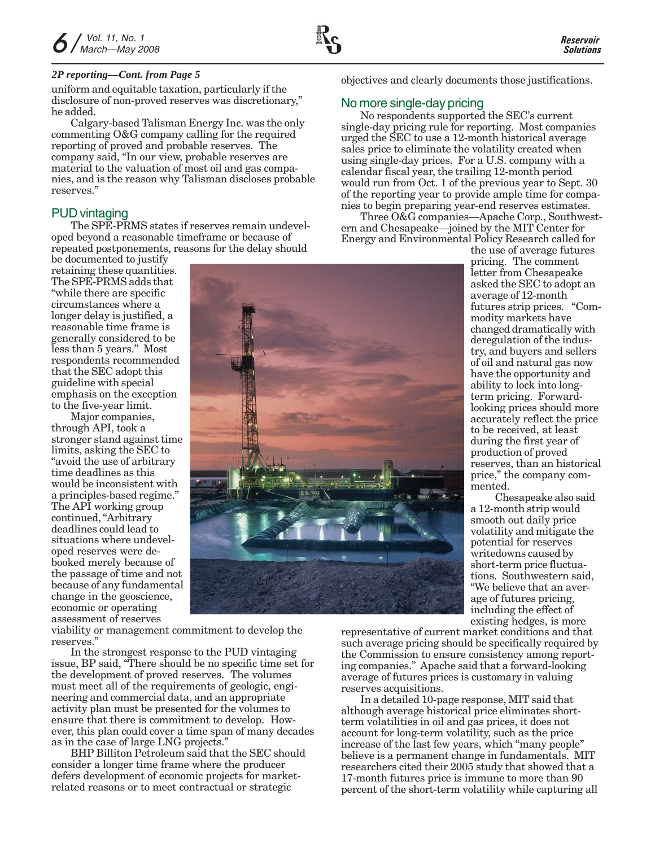#### *2P reporting—Cont. from Page 5*

uniform and equitable taxation, particularly if the disclosure of non-proved reserves was discretionary," he added.

Calgary-based Talisman Energy Inc. was the only commenting O&G company calling for the required reporting of proved and probable reserves. The company said, "In our view, probable reserves are material to the valuation of most oil and gas companies, and is the reason why Talisman discloses probable reserves."

# PUD vintaging

The SPE-PRMS states if reserves remain undeveloped beyond a reasonable timeframe or because of repeated postponements, reasons for the delay should

be documented to justify retaining these quantities. The SPE-PRMS adds that "while there are specific circumstances where a longer delay is justified, a reasonable time frame is generally considered to be less than 5 years." Most respondents recommended that the SEC adopt this guideline with special emphasis on the exception to the five-year limit.

Major companies, through API, took a stronger stand against time limits, asking the SEC to "avoid the use of arbitrary time deadlines as this would be inconsistent with a principles-based regime." The API working group continued, "Arbitrary deadlines could lead to situations where undeveloped reserves were debooked merely because of the passage of time and not because of any fundamental change in the geoscience, economic or operating assessment of reserves



viability or management commitment to develop the reserves."

In the strongest response to the PUD vintaging issue, BP said, "There should be no specific time set for the development of proved reserves. The volumes must meet all of the requirements of geologic, engineering and commercial data, and an appropriate activity plan must be presented for the volumes to ensure that there is commitment to develop. However, this plan could cover a time span of many decades as in the case of large LNG projects."

BHP Billiton Petroleum said that the SEC should consider a longer time frame where the producer defers development of economic projects for marketrelated reasons or to meet contractual or strategic

objectives and clearly documents those justifications.

## No more single-day pricing

No respondents supported the SEC's current single-day pricing rule for reporting. Most companies urged the SEC to use a 12-month historical average sales price to eliminate the volatility created when using single-day prices. For a U.S. company with a calendar fiscal year, the trailing 12-month period would run from Oct. 1 of the previous year to Sept. 30 of the reporting year to provide ample time for companies to begin preparing year-end reserves estimates.

Three O&G companies—Apache Corp., Southwestern and Chesapeake—joined by the MIT Center for Energy and Environmental Policy Research called for

the use of average futures pricing. The comment letter from Chesapeake asked the SEC to adopt an average of 12-month futures strip prices. "Commodity markets have changed dramatically with deregulation of the industry, and buyers and sellers of oil and natural gas now have the opportunity and ability to lock into longterm pricing. Forwardlooking prices should more accurately reflect the price to be received, at least during the first year of production of proved reserves, than an historical price," the company commented.

Chesapeake also said a 12-month strip would smooth out daily price volatility and mitigate the potential for reserves writedowns caused by short-term price fluctuations. Southwestern said, "We believe that an average of futures pricing, including the effect of existing hedges, is more

representative of current market conditions and that such average pricing should be specifically required by the Commission to ensure consistency among reporting companies." Apache said that a forward-looking average of futures prices is customary in valuing reserves acquisitions.

In a detailed 10-page response, MIT said that although average historical price eliminates shortterm volatilities in oil and gas prices, it does not account for long-term volatility, such as the price increase of the last few years, which "many people" believe is a permanent change in fundamentals. MIT researchers cited their 2005 study that showed that a 17-month futures price is immune to more than 90 percent of the short-term volatility while capturing all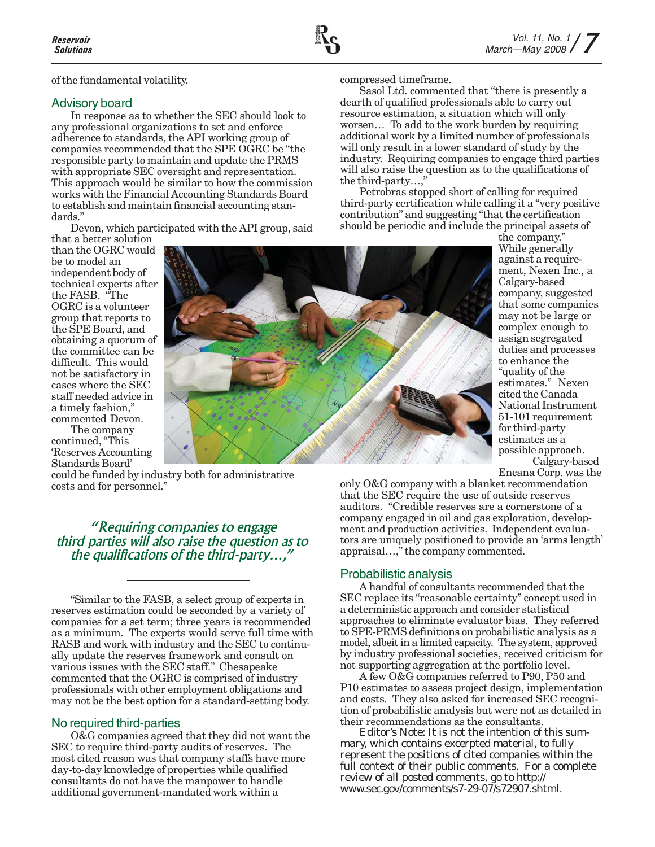of the fundamental volatility.

## Advisory board

In response as to whether the SEC should look to any professional organizations to set and enforce adherence to standards, the API working group of companies recommended that the SPE OGRC be "the responsible party to maintain and update the PRMS with appropriate SEC oversight and representation. This approach would be similar to how the commission works with the Financial Accounting Standards Board to establish and maintain financial accounting standards."

Devon, which participated with the API group, said

that a better solution than the OGRC would be to model an independent body of technical experts after the FASB. "The OGRC is a volunteer group that reports to the SPE Board, and obtaining a quorum of the committee can be difficult. This would not be satisfactory in cases where the SEC staff needed advice in a timely fashion," commented Devon.

The company continued, "This 'Reserves Accounting Standards Board'

could be funded by industry both for administrative costs and for personnel."

 *"Requiring companies to engage third parties will also raise the question as to the qualifications of the third-party…,"*

"Similar to the FASB, a select group of experts in reserves estimation could be seconded by a variety of companies for a set term; three years is recommended as a minimum. The experts would serve full time with RASB and work with industry and the SEC to continually update the reserves framework and consult on various issues with the SEC staff." Chesapeake commented that the OGRC is comprised of industry professionals with other employment obligations and may not be the best option for a standard-setting body.

## No required third-parties

O&G companies agreed that they did not want the SEC to require third-party audits of reserves. The most cited reason was that company staffs have more day-to-day knowledge of properties while qualified consultants do not have the manpower to handle additional government-mandated work within a

compressed timeframe.

Sasol Ltd. commented that "there is presently a dearth of qualified professionals able to carry out resource estimation, a situation which will only worsen… To add to the work burden by requiring additional work by a limited number of professionals will only result in a lower standard of study by the industry. Requiring companies to engage third parties will also raise the question as to the qualifications of the third-party…,"

Petrobras stopped short of calling for required third-party certification while calling it a "very positive contribution" and suggesting "that the certification should be periodic and include the principal assets of



the company." While generally against a requirement, Nexen Inc., a Calgary-based company, suggested that some companies may not be large or complex enough to assign segregated duties and processes to enhance the "quality of the estimates." Nexen cited the Canada National Instrument 51-101 requirement for third-party estimates as a possible approach.

Calgary-based Encana Corp. was the

only O&G company with a blanket recommendation that the SEC require the use of outside reserves auditors. "Credible reserves are a cornerstone of a company engaged in oil and gas exploration, development and production activities. Independent evaluators are uniquely positioned to provide an 'arms length' appraisal…," the company commented.

# Probabilistic analysis

A handful of consultants recommended that the SEC replace its "reasonable certainty" concept used in a deterministic approach and consider statistical approaches to eliminate evaluator bias. They referred to SPE-PRMS definitions on probabilistic analysis as a model, albeit in a limited capacity. The system, approved by industry professional societies, received criticism for not supporting aggregation at the portfolio level.

A few O&G companies referred to P90, P50 and P10 estimates to assess project design, implementation and costs. They also asked for increased SEC recognition of probabilistic analysis but were not as detailed in their recommendations as the consultants.

*Editor's Note: It is not the intention of this summary, which contains excerpted material, to fully represent the positions of cited companies within the full context of their public comments. For a complete review of all posted comments, go to http:// www.sec.gov/comments/s7-29-07/s72907.shtml.*